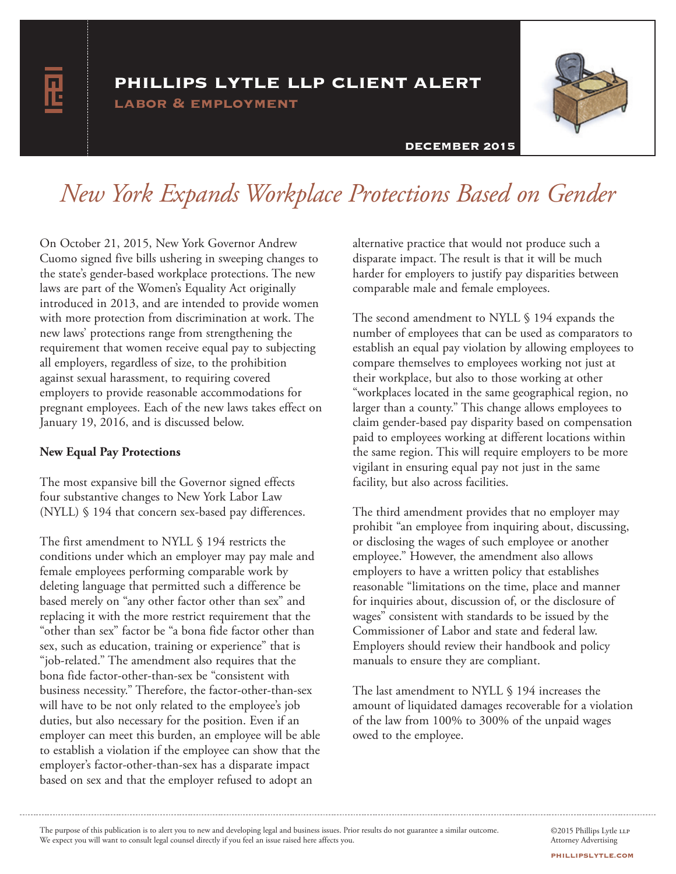# phillips lytle llp client alert

labor & employment



# DECEMBER 2015

# *New York Expands Workplace Protections Based on Gender*

On October 21, 2015, New York Governor Andrew Cuomo signed five bills ushering in sweeping changes to the state's gender-based workplace protections. The new laws are part of the Women's Equality Act originally introduced in 2013, and are intended to provide women with more protection from discrimination at work. The new laws' protections range from strengthening the requirement that women receive equal pay to subjecting all employers, regardless of size, to the prohibition against sexual harassment, to requiring covered employers to provide reasonable accommodations for pregnant employees. Each of the new laws takes effect on January 19, 2016, and is discussed below.

#### **New Equal Pay Protections**

The most expansive bill the Governor signed effects four substantive changes to New York Labor Law (NYLL) § 194 that concern sex-based pay differences.

The first amendment to NYLL § 194 restricts the conditions under which an employer may pay male and female employees performing comparable work by deleting language that permitted such a difference be based merely on "any other factor other than sex" and replacing it with the more restrict requirement that the "other than sex" factor be "a bona fide factor other than sex, such as education, training or experience" that is "job-related." The amendment also requires that the bona fide factor-other-than-sex be "consistent with business necessity." Therefore, the factor-other-than-sex will have to be not only related to the employee's job duties, but also necessary for the position. Even if an employer can meet this burden, an employee will be able to establish a violation if the employee can show that the employer's factor-other-than-sex has a disparate impact based on sex and that the employer refused to adopt an

alternative practice that would not produce such a disparate impact. The result is that it will be much harder for employers to justify pay disparities between comparable male and female employees.

The second amendment to NYLL § 194 expands the number of employees that can be used as comparators to establish an equal pay violation by allowing employees to compare themselves to employees working not just at their workplace, but also to those working at other "workplaces located in the same geographical region, no larger than a county." This change allows employees to claim gender-based pay disparity based on compensation paid to employees working at different locations within the same region. This will require employers to be more vigilant in ensuring equal pay not just in the same facility, but also across facilities.

The third amendment provides that no employer may prohibit "an employee from inquiring about, discussing, or disclosing the wages of such employee or another employee." However, the amendment also allows employers to have a written policy that establishes reasonable "limitations on the time, place and manner for inquiries about, discussion of, or the disclosure of wages" consistent with standards to be issued by the Commissioner of Labor and state and federal law. Employers should review their handbook and policy manuals to ensure they are compliant.

The last amendment to NYLL § 194 increases the amount of liquidated damages recoverable for a violation of the law from 100% to 300% of the unpaid wages owed to the employee.

The purpose of this publication is to alert you to new and developing legal and business issues. Prior results do not guarantee a similar outcome. We expect you will want to consult legal counsel directly if you feel an issue raised here affects you.

©2015 Phillips Lytle LLP Attorney Advertising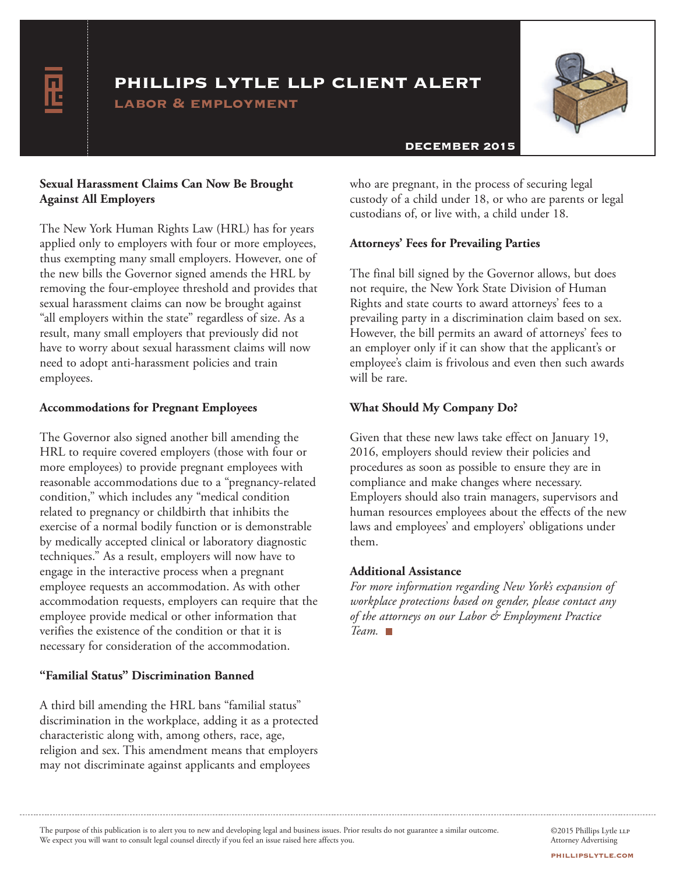# phillips lytle llp client alert

labor & employment



## DECEMBER 2015

# **Sexual Harassment Claims Can Now Be Brought Against All Employers**

The New York Human Rights Law (HRL) has for years applied only to employers with four or more employees, thus exempting many small employers. However, one of the new bills the Governor signed amends the HRL by removing the four-employee threshold and provides that sexual harassment claims can now be brought against "all employers within the state" regardless of size. As a result, many small employers that previously did not have to worry about sexual harassment claims will now need to adopt anti-harassment policies and train employees.

# **Accommodations for Pregnant Employees**

The Governor also signed another bill amending the HRL to require covered employers (those with four or more employees) to provide pregnant employees with reasonable accommodations due to a "pregnancy-related condition," which includes any "medical condition related to pregnancy or childbirth that inhibits the exercise of a normal bodily function or is demonstrable by medically accepted clinical or laboratory diagnostic techniques." As a result, employers will now have to engage in the interactive process when a pregnant employee requests an accommodation. As with other accommodation requests, employers can require that the employee provide medical or other information that verifies the existence of the condition or that it is necessary for consideration of the accommodation.

# **"Familial Status" Discrimination Banned**

A third bill amending the HRL bans "familial status" discrimination in the workplace, adding it as a protected characteristic along with, among others, race, age, religion and sex. This amendment means that employers may not discriminate against applicants and employees

who are pregnant, in the process of securing legal custody of a child under 18, or who are parents or legal custodians of, or live with, a child under 18.

### **Attorneys' Fees for Prevailing Parties**

The final bill signed by the Governor allows, but does not require, the New York State Division of Human Rights and state courts to award attorneys' fees to a prevailing party in a discrimination claim based on sex. However, the bill permits an award of attorneys' fees to an employer only if it can show that the applicant's or employee's claim is frivolous and even then such awards will be rare.

### **What Should My Company Do?**

Given that these new laws take effect on January 19, 2016, employers should review their policies and procedures as soon as possible to ensure they are in compliance and make changes where necessary. Employers should also train managers, supervisors and human resources employees about the effects of the new laws and employees' and employers' obligations under them.

## **Additional Assistance**

*For more information regarding New York's expansion of workplace protections based on gender, please contact any of the attorneys on our Labor & Employment Practice Team.*

The purpose of this publication is to alert you to new and developing legal and business issues. Prior results do not guarantee a similar outcome. We expect you will want to consult legal counsel directly if you feel an issue raised here affects you.

©2015 Phillips Lytle LLP Attorney Advertising